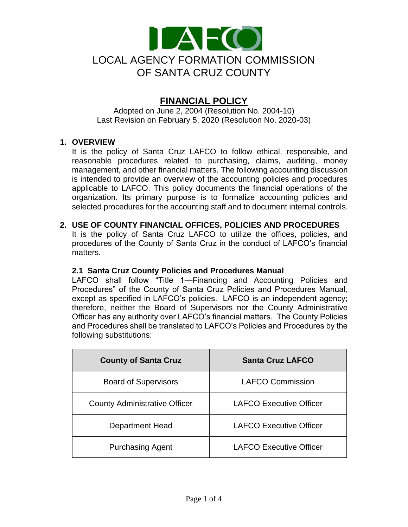

# **FINANCIAL POLICY**

Adopted on June 2, 2004 (Resolution No. 2004-10) Last Revision on February 5, 2020 (Resolution No. 2020-03)

#### **1. OVERVIEW**

It is the policy of Santa Cruz LAFCO to follow ethical, responsible, and reasonable procedures related to purchasing, claims, auditing, money management, and other financial matters. The following accounting discussion is intended to provide an overview of the accounting policies and procedures applicable to LAFCO. This policy documents the financial operations of the organization. Its primary purpose is to formalize accounting policies and selected procedures for the accounting staff and to document internal controls.

#### **2. USE OF COUNTY FINANCIAL OFFICES, POLICIES AND PROCEDURES**

It is the policy of Santa Cruz LAFCO to utilize the offices, policies, and procedures of the County of Santa Cruz in the conduct of LAFCO's financial matters.

#### **2.1 Santa Cruz County Policies and Procedures Manual**

LAFCO shall follow "Title 1—Financing and Accounting Policies and Procedures" of the County of Santa Cruz Policies and Procedures Manual, except as specified in LAFCO's policies. LAFCO is an independent agency; therefore, neither the Board of Supervisors nor the County Administrative Officer has any authority over LAFCO's financial matters. The County Policies and Procedures shall be translated to LAFCO's Policies and Procedures by the following substitutions:

| <b>County of Santa Cruz</b>          | <b>Santa Cruz LAFCO</b>        |
|--------------------------------------|--------------------------------|
| <b>Board of Supervisors</b>          | <b>LAFCO Commission</b>        |
| <b>County Administrative Officer</b> | <b>LAFCO Executive Officer</b> |
| <b>Department Head</b>               | <b>LAFCO Executive Officer</b> |
| <b>Purchasing Agent</b>              | <b>LAFCO Executive Officer</b> |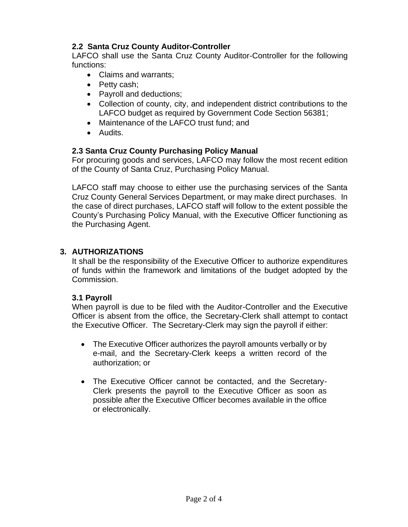# **2.2 Santa Cruz County Auditor-Controller**

LAFCO shall use the Santa Cruz County Auditor-Controller for the following functions:

- Claims and warrants;
- Petty cash;
- Payroll and deductions;
- Collection of county, city, and independent district contributions to the LAFCO budget as required by Government Code Section 56381;
- Maintenance of the LAFCO trust fund; and
- Audits.

# **2.3 Santa Cruz County Purchasing Policy Manual**

For procuring goods and services, LAFCO may follow the most recent edition of the County of Santa Cruz, Purchasing Policy Manual.

LAFCO staff may choose to either use the purchasing services of the Santa Cruz County General Services Department, or may make direct purchases. In the case of direct purchases, LAFCO staff will follow to the extent possible the County's Purchasing Policy Manual, with the Executive Officer functioning as the Purchasing Agent.

# **3. AUTHORIZATIONS**

It shall be the responsibility of the Executive Officer to authorize expenditures of funds within the framework and limitations of the budget adopted by the Commission.

### **3.1 Payroll**

When payroll is due to be filed with the Auditor-Controller and the Executive Officer is absent from the office, the Secretary-Clerk shall attempt to contact the Executive Officer. The Secretary-Clerk may sign the payroll if either:

- The Executive Officer authorizes the payroll amounts verbally or by e-mail, and the Secretary-Clerk keeps a written record of the authorization; or
- The Executive Officer cannot be contacted, and the Secretary-Clerk presents the payroll to the Executive Officer as soon as possible after the Executive Officer becomes available in the office or electronically.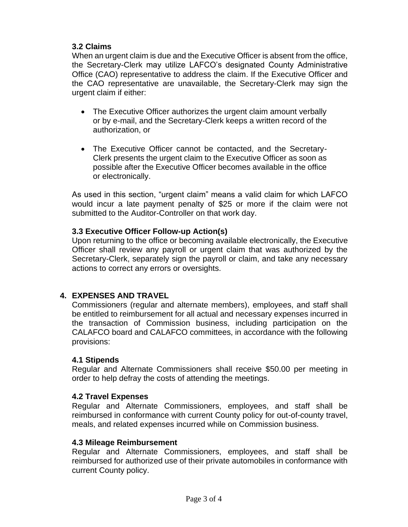# **3.2 Claims**

When an urgent claim is due and the Executive Officer is absent from the office, the Secretary-Clerk may utilize LAFCO's designated County Administrative Office (CAO) representative to address the claim. If the Executive Officer and the CAO representative are unavailable, the Secretary-Clerk may sign the urgent claim if either:

- The Executive Officer authorizes the urgent claim amount verbally or by e-mail, and the Secretary-Clerk keeps a written record of the authorization, or
- The Executive Officer cannot be contacted, and the Secretary-Clerk presents the urgent claim to the Executive Officer as soon as possible after the Executive Officer becomes available in the office or electronically.

As used in this section, "urgent claim" means a valid claim for which LAFCO would incur a late payment penalty of \$25 or more if the claim were not submitted to the Auditor-Controller on that work day.

### **3.3 Executive Officer Follow-up Action(s)**

Upon returning to the office or becoming available electronically, the Executive Officer shall review any payroll or urgent claim that was authorized by the Secretary-Clerk, separately sign the payroll or claim, and take any necessary actions to correct any errors or oversights.

# **4. EXPENSES AND TRAVEL**

Commissioners (regular and alternate members), employees, and staff shall be entitled to reimbursement for all actual and necessary expenses incurred in the transaction of Commission business, including participation on the CALAFCO board and CALAFCO committees, in accordance with the following provisions:

### **4.1 Stipends**

Regular and Alternate Commissioners shall receive \$50.00 per meeting in order to help defray the costs of attending the meetings.

### **4.2 Travel Expenses**

Regular and Alternate Commissioners, employees, and staff shall be reimbursed in conformance with current County policy for out-of-county travel, meals, and related expenses incurred while on Commission business.

#### **4.3 Mileage Reimbursement**

Regular and Alternate Commissioners, employees, and staff shall be reimbursed for authorized use of their private automobiles in conformance with current County policy.